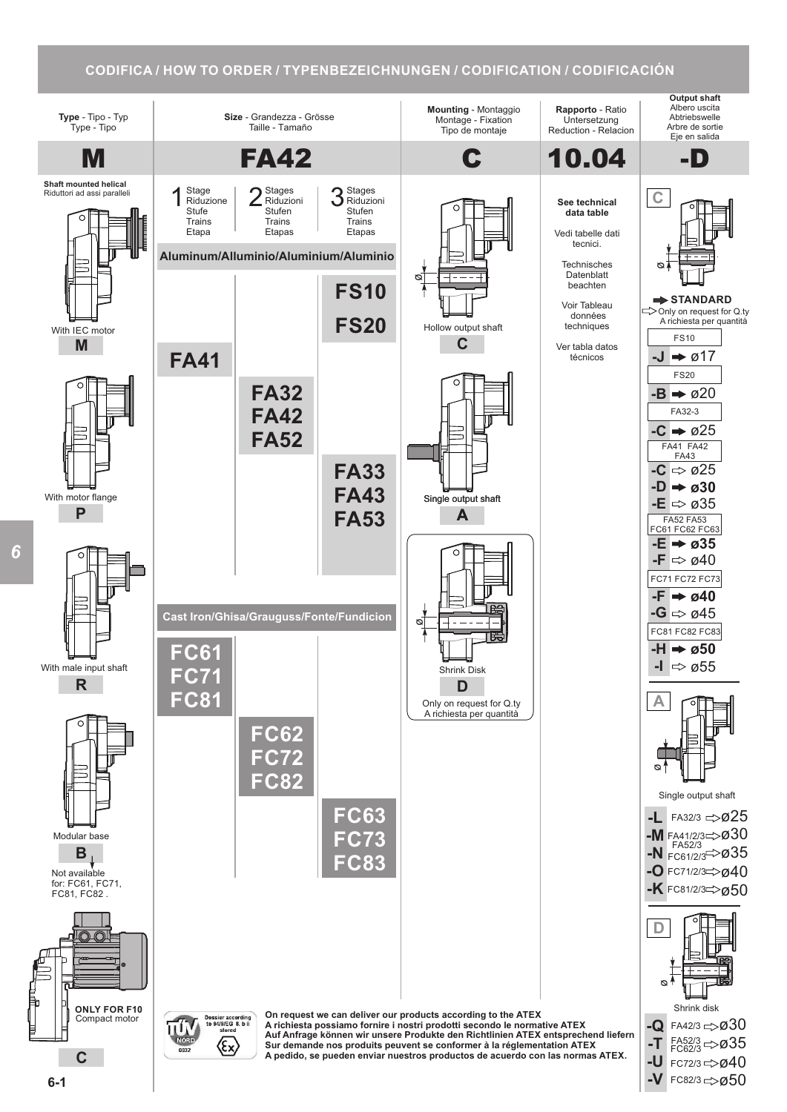## **CODIFICA / HOW TO ORDER / TYPENBEZEICHNUNGEN / CODIFICATION / CODIFICACIÓN**



**6-1**